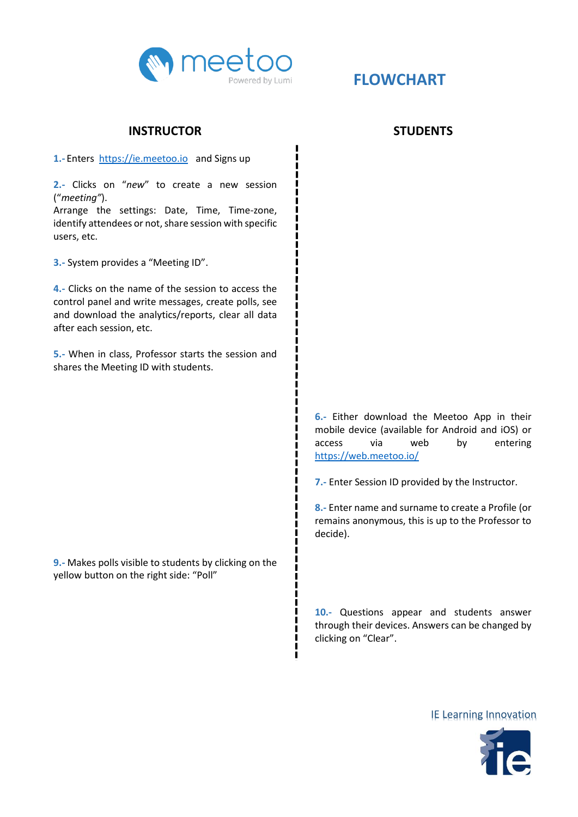

## **INSTRUCTOR**

1.- Enters [https://ie.meetoo.io](https://ie.meetoo.io/) and Signs up

**2.-** Clicks on "*new*" to create a new session ("*meeting"*).

Arrange the settings: Date, Time, Time-zone, identify attendees or not, share session with specific users, etc.

**3.-** System provides a "Meeting ID".

**4.-** Clicks on the name of the session to access the control panel and write messages, create polls, see and download the analytics/reports, clear all data after each session, etc.

**5.-** When in class, Professor starts the session and shares the Meeting ID with students.

**9.-** Makes polls visible to students by clicking on the yellow button on the right side: "Poll"

## **STUDENTS**

**6.-** Either download the Meetoo App in their mobile device (available for Android and iOS) or access via web by entering <https://web.meetoo.io/>

**7.-** Enter Session ID provided by the Instructor.

**8.-** Enter name and surname to create a Profile (or remains anonymous, this is up to the Professor to decide).

**10.-** Questions appear and students answer through their devices. Answers can be changed by clicking on "Clear".

IE Learning Innovation